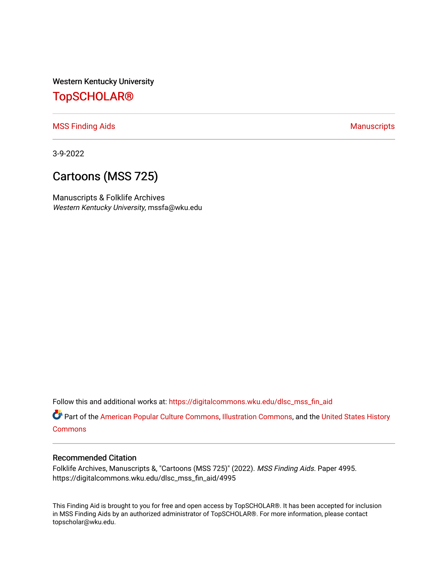Western Kentucky University

## [TopSCHOLAR®](https://digitalcommons.wku.edu/)

[MSS Finding Aids](https://digitalcommons.wku.edu/dlsc_mss_fin_aid) **Manuscripts** [Manuscripts](https://digitalcommons.wku.edu/dlsc_mss) **Manuscripts** 

3-9-2022

# Cartoons (MSS 725)

Manuscripts & Folklife Archives Western Kentucky University, mssfa@wku.edu

Follow this and additional works at: [https://digitalcommons.wku.edu/dlsc\\_mss\\_fin\\_aid](https://digitalcommons.wku.edu/dlsc_mss_fin_aid?utm_source=digitalcommons.wku.edu%2Fdlsc_mss_fin_aid%2F4995&utm_medium=PDF&utm_campaign=PDFCoverPages) 

Part of the [American Popular Culture Commons,](http://network.bepress.com/hgg/discipline/443?utm_source=digitalcommons.wku.edu%2Fdlsc_mss_fin_aid%2F4995&utm_medium=PDF&utm_campaign=PDFCoverPages) [Illustration Commons,](http://network.bepress.com/hgg/discipline/1135?utm_source=digitalcommons.wku.edu%2Fdlsc_mss_fin_aid%2F4995&utm_medium=PDF&utm_campaign=PDFCoverPages) and the [United States History](http://network.bepress.com/hgg/discipline/495?utm_source=digitalcommons.wku.edu%2Fdlsc_mss_fin_aid%2F4995&utm_medium=PDF&utm_campaign=PDFCoverPages) **[Commons](http://network.bepress.com/hgg/discipline/495?utm_source=digitalcommons.wku.edu%2Fdlsc_mss_fin_aid%2F4995&utm_medium=PDF&utm_campaign=PDFCoverPages)** 

#### Recommended Citation

Folklife Archives, Manuscripts &, "Cartoons (MSS 725)" (2022). MSS Finding Aids. Paper 4995. https://digitalcommons.wku.edu/dlsc\_mss\_fin\_aid/4995

This Finding Aid is brought to you for free and open access by TopSCHOLAR®. It has been accepted for inclusion in MSS Finding Aids by an authorized administrator of TopSCHOLAR®. For more information, please contact topscholar@wku.edu.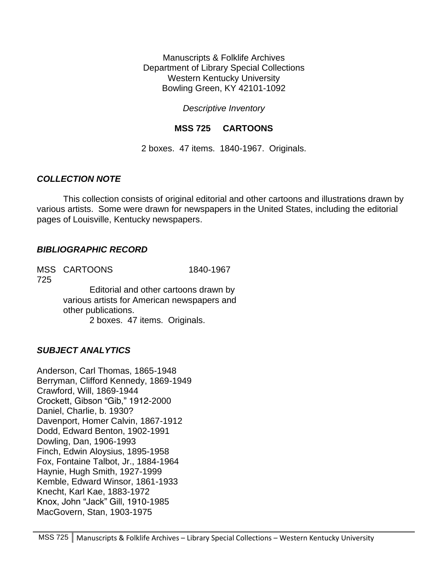Manuscripts & Folklife Archives Department of Library Special Collections Western Kentucky University Bowling Green, KY 42101-1092

*Descriptive Inventory*

### **MSS 725 CARTOONS**

2 boxes. 47 items. 1840-1967. Originals.

### *COLLECTION NOTE*

This collection consists of original editorial and other cartoons and illustrations drawn by various artists. Some were drawn for newspapers in the United States, including the editorial pages of Louisville, Kentucky newspapers.

#### *BIBLIOGRAPHIC RECORD*

MSS CARTOONS 1840-1967 725 Editorial and other cartoons drawn by

various artists for American newspapers and other publications. 2 boxes. 47 items. Originals.

## *SUBJECT ANALYTICS*

Anderson, Carl Thomas, 1865-1948 Berryman, Clifford Kennedy, 1869-1949 Crawford, Will, 1869-1944 Crockett, Gibson "Gib," 1912-2000 Daniel, Charlie, b. 1930? Davenport, Homer Calvin, 1867-1912 Dodd, Edward Benton, 1902-1991 Dowling, Dan, 1906-1993 Finch, Edwin Aloysius, 1895-1958 Fox, Fontaine Talbot, Jr., 1884-1964 Haynie, Hugh Smith, 1927-1999 Kemble, Edward Winsor, 1861-1933 Knecht, Karl Kae, 1883-1972 Knox, John "Jack" Gill, 1910-1985 MacGovern, Stan, 1903-1975